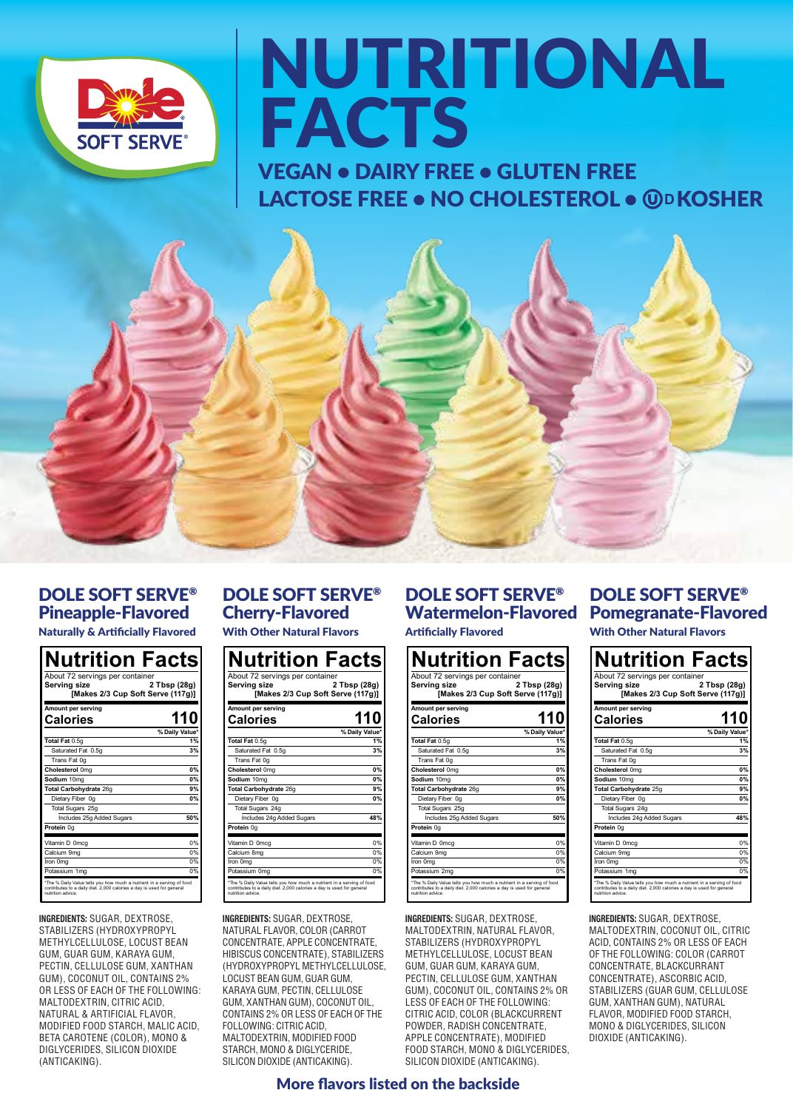

# NUTRITIONAL FACTS

VEGAN • DAIRY FREE • GLUTEN FREE **LACTOSE FREE • NO CHOLESTEROL • @PKOSHER** 



# DOLE SOFT SERVE® Pineapple-Flavored

| <b>Naturally &amp; Artificially Flavored</b> |  |  |  |  |  |  |
|----------------------------------------------|--|--|--|--|--|--|
|----------------------------------------------|--|--|--|--|--|--|

| About 72 servings per container<br>Serving size<br>[Makes 2/3 Cup Soft Serve (117g)] | 2 Tbsp (28g)         |
|--------------------------------------------------------------------------------------|----------------------|
| Amount per serving<br>Calories                                                       | 110                  |
| Total Fat 0.5g                                                                       | % Daily Value'<br>1% |
| Saturated Fat 0.5g                                                                   | 3%                   |
| Trans Fat 0g                                                                         |                      |
| Cholesterol 0mg                                                                      | O%                   |
| Sodium 10mg                                                                          | 0%                   |
| Total Carbohydrate 26g                                                               | 9%                   |
| Dietary Fiber 0g                                                                     | n%                   |
| Total Sugars 25g                                                                     |                      |
| Includes 25g Added Sugars                                                            | 50%                  |
| Protein 0g                                                                           |                      |
| Vitamin D 0mog                                                                       | 0%                   |
| Calcium 9mg                                                                          | O%                   |
| Iron Oma                                                                             | n%                   |
| Potassium 1mg                                                                        | n%                   |

**INGREDIENTS:** SUGAR, DEXTROSE, STABILIZERS (HYDROXYPROPYL METHYLCELLULOSE, LOCUST BEAN GUM, GUAR GUM, KARAYA GUM, PECTIN, CELLULOSE GUM, XANTHAN GUM), COCONUT OIL, CONTAINS 2% OR LESS OF EACH OF THE FOLLOWING: MALTODEXTRIN, CITRIC ACID, NATURAL & ARTIFICIAL FLAVOR, MODIFIED FOOD STARCH, MALIC ACID, BETA CAROTENE (COLOR), MONO & DIGLYCERIDES, SILICON DIOXIDE (ANTICAKING).

# DOLE SOFT SERVE® Cherry-Flavored

With Other Natural Flavors

| About 72 servings per container<br>Serving size<br>[Makes 2/3 Cup Soft Serve (117g)] | 2 Tbsp (28g)         |
|--------------------------------------------------------------------------------------|----------------------|
| Amount per serving<br>Calories                                                       | 110                  |
| Total Fat 0.5g                                                                       | % Daily Value'<br>19 |
| Saturated Fat 0.5g                                                                   | 3%                   |
| Trans Fat 0g                                                                         |                      |
| Cholesterol 0mg                                                                      | O%                   |
| Sodium 10mg                                                                          | o%                   |
| Total Carbohydrate 26g                                                               | 9 <sup>6</sup>       |
| Dietary Fiber 0g                                                                     | <b>n%</b>            |
| <b>Total Sugars 24g</b>                                                              |                      |
| Includes 24g Added Sugars                                                            | 48%                  |
| Protein 0g                                                                           |                      |
| Vitamin D Omcg                                                                       | n%                   |
| Calcium 8mg                                                                          | n                    |
| Iron Oma                                                                             | n%                   |
| Potassium 0mg                                                                        | n%                   |

**INGREDIENTS:** SUGAR, DEXTROSE, NATURAL FLAVOR, COLOR (CARROT CONCENTRATE, APPLE CONCENTRATE, HIBISCUS CONCENTRATE), STABILIZERS (HYDROXYPROPYL METHYLCELLULOSE, LOCUST BEAN GUM, GUAR GUM, KARAYA GUM, PECTIN, CELLULOSE GUM, XANTHAN GUM), COCONUT OIL, CONTAINS 2% OR LESS OF EACH OF THE FOLLOWING: CITRIC ACID, MALTODEXTRIN, MODIFIED FOOD STARCH, MONO & DIGLYCERIDE, SILICON DIOXIDE (ANTICAKING).

# DOLE SOFT SERVE® Artificially Flavored

| About 72 servings per container<br>Serving size<br>[Makes 2/3 Cup Soft Serve (117g)] | 2 Tbsp (28g)   |
|--------------------------------------------------------------------------------------|----------------|
| Amount per serving<br>Calories                                                       | 110            |
|                                                                                      | % Daily Value" |
| Total Fat 0.5g                                                                       |                |
| Saturated Fat 0.5g                                                                   | ٦h             |
| Trans Fat Og                                                                         |                |
| Cholesterol 0mg                                                                      | n%             |
| Sodium 10mg                                                                          | <b>n%</b>      |
| Total Carbohydrate 26g                                                               | 9 <sup>6</sup> |
| Dietary Fiber 0g                                                                     | n%             |
| Total Sugars 25g                                                                     |                |
| Includes 25g Added Sugars                                                            | 50%            |
| Protein 0g                                                                           |                |
| Vitamin D Omcg                                                                       | n%             |
| Calcium 9mg                                                                          | n%             |
| Iron Oma                                                                             | m              |
| Potassium 2mg                                                                        | 0 <sup>9</sup> |

**INGREDIENTS:** SUGAR, DEXTROSE, MALTODEXTRIN, NATURAL FLAVOR, STABILIZERS (HYDROXYPROPYL METHYLCELLULOSE, LOCUST BEAN GUM, GUAR GUM, KARAYA GUM, PECTIN, CELLULOSE GUM, XANTHAN GUM), COCONUT OIL, CONTAINS 2% OR LESS OF EACH OF THE FOLLOWING: CITRIC ACID, COLOR (BLACKCURRENT POWDER, RADISH CONCENTRATE, APPLE CONCENTRATE), MODIFIED FOOD STARCH, MONO & DIGLYCERIDES, SILICON DIOXIDE (ANTICAKING).

# Watermelon-Flavored Pomegranate-Flavored DOLE SOFT SERVE®

With Other Natural Flavors

| Nutrition Facts                                                                                                                                                 |                |
|-----------------------------------------------------------------------------------------------------------------------------------------------------------------|----------------|
| About 72 servings per container<br>Serving size<br>[Makes 2/3 Cup Soft Serve (117g)]                                                                            | 2 Tbsp (28g)   |
| Amount per serving<br>Calories                                                                                                                                  | 110            |
|                                                                                                                                                                 | % Daily Value* |
| Total Fat 0.5g                                                                                                                                                  | 19             |
| Saturated Fat 0.5g                                                                                                                                              | ٦V             |
| Trans Fat 0g                                                                                                                                                    |                |
| Cholesterol 0mg                                                                                                                                                 | n%             |
| Sodium 10mg                                                                                                                                                     | ۵Ķ             |
| Total Carbohydrate 25g                                                                                                                                          | ۹%             |
| Dietary Fiber 0g                                                                                                                                                | n%             |
| Total Sugars 24g                                                                                                                                                |                |
| Includes 24g Added Sugars                                                                                                                                       | <b>48%</b>     |
| Protein 0g                                                                                                                                                      |                |
| Vitamin D Omcg                                                                                                                                                  | 0%             |
| Calcium 9mg                                                                                                                                                     | n%             |
| Iran Oma                                                                                                                                                        | 0 <sup>8</sup> |
| Potassium 1mg                                                                                                                                                   | $0\%$          |
| The % Daily Value tells you how much a nutrient in a serving of food<br>contributes to a daily diet. 2,000 calories a day is used for ceneral<br>subtime adults |                |

**INGREDIENTS:** SUGAR, DEXTROSE, MALTODEXTRIN, COCONUT OIL, CITRIC ACID, CONTAINS 2% OR LESS OF EACH OF THE FOLLOWING: COLOR (CARROT CONCENTRATE, BLACKCURRANT CONCENTRATE), ASCORBIC ACID, STABILIZERS (GUAR GUM, CELLULOSE GUM, XANTHAN GUM), NATURAL FLAVOR, MODIFIED FOOD STARCH. MONO & DIGLYCERIDES, SILICON DIOXIDE (ANTICAKING).

# More flavors listed on the backside